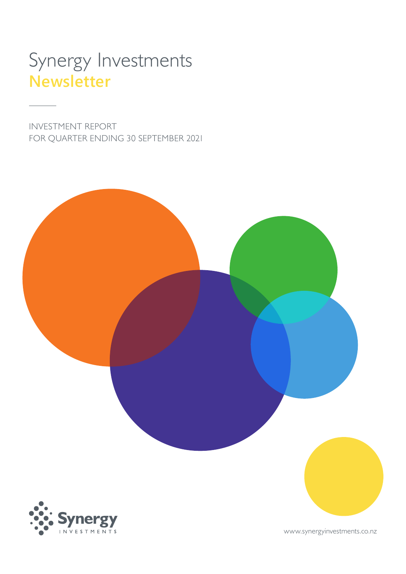# Synergy Investments **Newsletter**

INVESTMENT REPORT FOR QUARTER ENDING 30 SEPTEMBER 2021

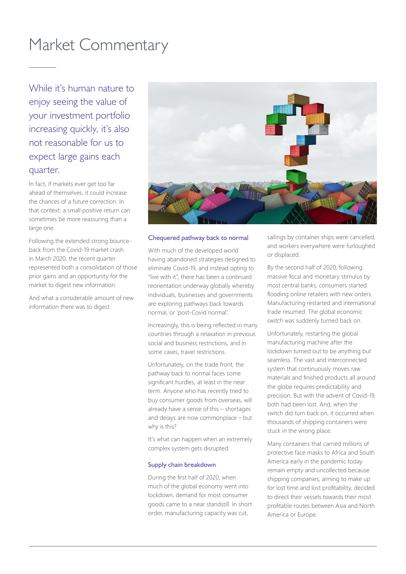## Market Commentary

While it's human nature to enjoy seeing the value of your investment portfolio increasing quickly, it's also not reasonable for us to expect large gains each quarter.

In fact, if markets ever get too far ahead of themselves, it could increase the chances of a future correction. In that context, a small positive return can sometimes be more reassuring than a large one.

Following the extended strong bounceback from the Covid-19 market crash in March 2020, the recent quarter represented both a consolidation of those prior gains and an opportunity for the market to digest new information.

And what a considerable amount of new information there was to digest.



#### Chequered pathway back to normal

With much of the developed world having abandoned strategies designed to eliminate Covid-19, and instead opting to "live with it", there has been a continued reorientation underway globally whereby individuals, businesses and governments are exploring pathways back towards normal, or 'post-Covid normal'.

Increasingly, this is being reflected in many countries through a relaxation in previous social and business restrictions, and in some cases, travel restrictions.

Unfortunately, on the trade front, the pathway back to normal faces some significant hurdles, at least in the near term. Anyone who has recently tried to buy consumer goods from overseas, will already have a sense of this – shortages and delays are now commonplace – but why is this?

It's what can happen when an extremely complex system gets disrupted.

#### Supply chain breakdown

During the first half of 2020, when much of the global economy went into lockdown, demand for most consumer goods came to a near standstill. In short order, manufacturing capacity was cut,

sailings by container ships were cancelled, and workers everywhere were furloughed or displaced.

By the second half of 2020, following massive fiscal and monetary stimulus by most central banks, consumers started flooding online retailers with new orders. Manufacturing restarted and international trade resumed. The global economic switch was suddenly turned back on.

Unfortunately, restarting the global manufacturing machine after the lockdown turned out to be anything but seamless. The vast and interconnected system that continuously moves raw materials and finished products all around the globe requires predictability and precision. But with the advent of Covid-19, both had been lost. And, when the switch did turn back on, it occurred when thousands of shipping containers were stuck in the wrong place.

Many containers that carried millions of protective face masks to Africa and South America early in the pandemic today remain empty and uncollected because shipping companies, aiming to make up for lost time and lost profitability, decided to direct their vessels towards their most profitable routes between Asia and North America or Europe.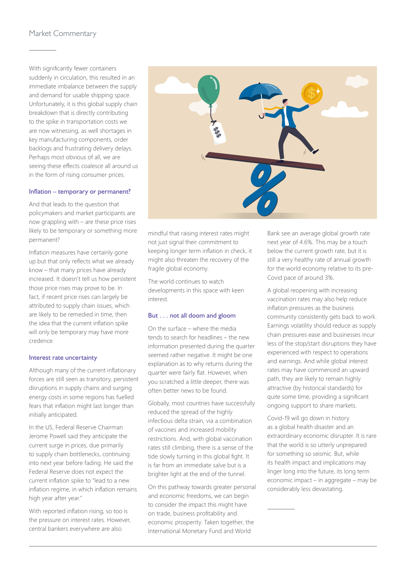## Market Commentary

With significantly fewer containers suddenly in circulation, this resulted in an immediate imbalance between the supply and demand for usable shipping space. Unfortunately, it is this global supply chain breakdown that is directly contributing to the spike in transportation costs we are now witnessing, as well shortages in key manufacturing components, order backlogs and frustrating delivery delays. Perhaps most obvious of all, we are seeing these effects coalesce all around us in the form of rising consumer prices.

### Inflation – temporary or permanent?

And that leads to the question that policymakers and market participants are now grappling with – are these price rises likely to be temporary or something more permanent?

Inflation measures have certainly gone up but that only reflects what we already know – that many prices have already increased. It doesn't tell us how persistent those price rises may prove to be. In fact, if recent price rises can largely be attributed to supply chain issues, which are likely to be remedied in time, then the idea that the current inflation spike will only be temporary may have more credence.

#### Interest rate uncertainty

Although many of the current inflationary forces are still seen as transitory, persistent disruptions in supply chains and surging energy costs in some regions has fuelled fears that inflation might last longer than initially anticipated.

In the US, Federal Reserve Chairman Jerome Powell said they anticipate the current surge in prices, due primarily to supply chain bottlenecks, continuing into next year before fading. He said the Federal Reserve does not expect the current inflation spike to "lead to a new inflation regime, in which inflation remains high year after year."

With reported inflation rising, so too is the pressure on interest rates. However, central bankers everywhere are also



mindful that raising interest rates might not just signal their commitment to keeping longer term inflation in check, it might also threaten the recovery of the fragile global economy.

The world continues to watch developments in this space with keen interest.

#### But . . . not all doom and gloom

On the surface – where the media tends to search for headlines – the new information presented during the quarter seemed rather negative. It might be one explanation as to why returns during the quarter were fairly flat. However, when you scratched a little deeper, there was often better news to be found.

Globally, most countries have successfully reduced the spread of the highly infectious delta strain, via a combination of vaccines and increased mobility restrictions. And, with global vaccination rates still climbing, there is a sense of the tide slowly turning in this global fight. It is far from an immediate salve but is a brighter light at the end of the tunnel.

On this pathway towards greater personal and economic freedoms, we can begin to consider the impact this might have on trade, business profitability and economic prosperity. Taken together, the International Monetary Fund and World

Bank see an average global growth rate next year of 4.6%. This may be a touch below the current growth rate, but it is still a very healthy rate of annual growth for the world economy relative to its pre-Covid pace of around 3%.

A global reopening with increasing vaccination rates may also help reduce inflation pressures as the business community consistently gets back to work. Earnings volatility should reduce as supply chain pressures ease and businesses incur less of the stop/start disruptions they have experienced with respect to operations and earnings. And while global interest rates may have commenced an upward path, they are likely to remain highly attractive (by historical standards) for quite some time, providing a significant ongoing support to share markets.

Covid-19 will go down in history as a global health disaster and an extraordinary economic disrupter. It is rare that the world is so utterly unprepared for something so seismic. But, while its health impact and implications may linger long into the future, its long term economic impact – in aggregate – may be considerably less devastating.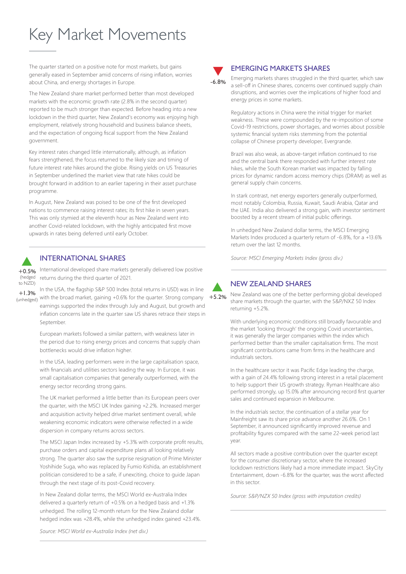# Key Market Movements

The quarter started on a positive note for most markets, but gains generally eased in September amid concerns of rising inflation, worries about China, and energy shortages in Europe.

The New Zealand share market performed better than most developed markets with the economic growth rate (2.8% in the second quarter) reported to be much stronger than expected. Before heading into a new lockdown in the third quarter, New Zealand's economy was enjoying high employment, relatively strong household and business balance sheets, and the expectation of ongoing fiscal support from the New Zealand government.

Key interest rates changed little internationally, although, as inflation fears strengthened, the focus returned to the likely size and timing of future interest rate hikes around the globe. Rising yields on US Treasuries in September underlined the market view that rate hikes could be brought forward in addition to an earlier tapering in their asset purchase programme.

In August, New Zealand was poised to be one of the first developed nations to commence raising interest rates; its first hike in seven years. This was only stymied at the eleventh hour as New Zealand went into another Covid-related lockdown, with the highly anticipated first move upwards in rates being deferred until early October.

## INTERNATIONAL SHARES

 $+0.5%$ International developed share markets generally delivered low positive returns during the third quarter of 2021. (hedged to NZD)

In the USA, the flagship S&P 500 Index (total returns in USD) was in line with the broad market, gaining +0.6% for the quarter. Strong company earnings supported the index through July and August, but growth and inflation concerns late in the quarter saw US shares retrace their steps in September.  $+1.3%$ (unhedged)

> European markets followed a similar pattern, with weakness later in the period due to rising energy prices and concerns that supply chain bottlenecks would drive inflation higher.

In the USA, leading performers were in the large capitalisation space, with financials and utilities sectors leading the way. In Europe, it was small capitalisation companies that generally outperformed, with the energy sector recording strong gains.

The UK market performed a little better than its European peers over the quarter, with the MSCI UK Index gaining +2.2%. Increased merger and acquisition activity helped drive market sentiment overall, while weakening economic indicators were otherwise reflected in a wide dispersion in company returns across sectors.

The MSCI Japan Index increased by +5.3% with corporate profit results, purchase orders and capital expenditure plans all looking relatively strong. The quarter also saw the surprise resignation of Prime Minister Yoshihide Suga, who was replaced by Fumio Kishida, an establishment politician considered to be a safe, if unexciting, choice to guide Japan through the next stage of its post-Covid recovery.

In New Zealand dollar terms, the MSCI World ex-Australia Index delivered a quarterly return of +0.5% on a hedged basis and +1.3% unhedged. The rolling 12-month return for the New Zealand dollar hedged index was +28.4%, while the unhedged index gained +23.4%.



## EMERGING MARKETS SHARES

Emerging markets shares struggled in the third quarter, which saw a sell-off in Chinese shares, concerns over continued supply chain disruptions, and worries over the implications of higher food and energy prices in some markets.

Regulatory actions in China were the initial trigger for market weakness. These were compounded by the re-imposition of some Covid-19 restrictions, power shortages, and worries about possible systemic financial system risks stemming from the potential collapse of Chinese property developer, Evergrande.

Brazil was also weak, as above-target inflation continued to rise and the central bank there responded with further interest rate hikes, while the South Korean market was impacted by falling prices for dynamic random access memory chips (DRAM) as well as general supply chain concerns.

In stark contrast, net energy exporters generally outperformed, most notably Colombia, Russia, Kuwait, Saudi Arabia, Qatar and the UAE. India also delivered a strong gain, with investor sentiment boosted by a recent stream of initial public offerings.

In unhedged New Zealand dollar terms, the MSCI Emerging Markets Index produced a quarterly return of -6.8%, for a +13.6% return over the last 12 months.

*Source: MSCI Emerging Markets Index (gross div.)*



## NEW ZEALAND SHARES

New Zealand was one of the better performing global developed share markets through the quarter, with the S&P/NXZ 50 Index returning +5.2%.

With underlying economic conditions still broadly favourable and the market 'looking through' the ongoing Covid uncertainties, it was generally the larger companies within the index which performed better than the smaller capitalisation firms. The most significant contributions came from firms in the healthcare and industrials sectors.

In the healthcare sector it was Pacific Edge leading the charge, with a gain of 24.4% following strong interest in a retail placement to help support their US growth strategy. Ryman Healthcare also performed strongly, up 15.0% after announcing record first quarter sales and continued expansion in Melbourne.

In the industrials sector, the continuation of a stellar year for Mainfreight saw its share price advance another 26.6%. On 1 September, it announced significantly improved revenue and profitability figures compared with the same 22-week period last year.

All sectors made a positive contribution over the quarter except for the consumer discretionary sector, where the increased lockdown restrictions likely had a more immediate impact. SkyCity Entertainment, down -6.8% for the quarter, was the worst affected in this sector.

*Source: S&P/NZX 50 Index (gross with imputation credits)*

*Source: MSCI World ex-Australia Index (net div.)*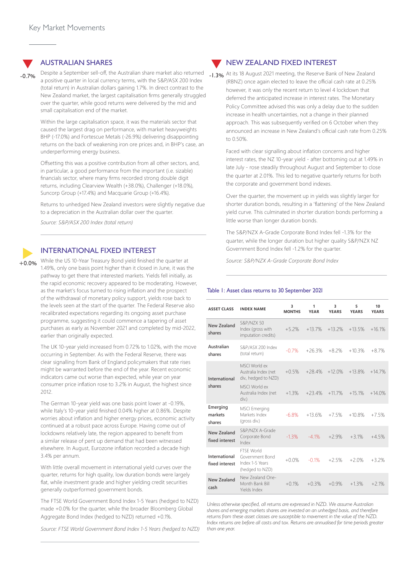#### AUSTRALIAN SHARES

Despite a September sell-off, the Australian share market also returned a positive quarter in local currency terms, with the S&P/ASX 200 Index (total return) in Australian dollars gaining 1.7%. In direct contrast to the New Zealand market, the largest capitalisation firms generally struggled over the quarter, while good returns were delivered by the mid and small capitalisation end of the market. -0.7%

> Within the large capitalisation space, it was the materials sector that caused the largest drag on performance, with market heavyweights BHP (-17.0%) and Fortescue Metals (-26.9%) delivering disappointing returns on the back of weakening iron ore prices and, in BHP's case, an underperforming energy business.

Offsetting this was a positive contribution from all other sectors, and, in particular, a good performance from the important (i.e. sizable) financials sector, where many firms recorded strong double digit returns, including Clearview Wealth (+38.0%), Challenger (+18.0%), Suncorp Group (+17.4%) and Macquarie Group (+16.4%).

Returns to unhedged New Zealand investors were slightly negative due to a depreciation in the Australian dollar over the quarter.

*Source: S&P/ASX 200 Index (total return)*

### INTERNATIONAL FIXED INTEREST

While the US 10-Year Treasury Bond yield finished the quarter at 1.49%, only one basis point higher than it closed in June, it was the pathway to get there that interested markets. Yields fell initially, as the rapid economic recovery appeared to be moderating. However, as the market's focus turned to rising inflation and the prospect of the withdrawal of monetary policy support, yields rose back to the levels seen at the start of the quarter. The Federal Reserve also recalibrated expectations regarding its ongoing asset purchase programme, suggesting it could commence a tapering of asset purchases as early as November 2021 and completed by mid-2022, earlier than originally expected.

The UK 10-year yield increased from 0.72% to 1.02%, with the move occurring in September. As with the Federal Reserve, there was clear signalling from Bank of England policymakers that rate rises might be warranted before the end of the year. Recent economic indicators came out worse than expected, while year on year consumer price inflation rose to 3.2% in August, the highest since 2012.

The German 10-year yield was one basis point lower at -0.19%, while Italy's 10-year yield finished 0.04% higher at 0.86%. Despite worries about inflation and higher energy prices, economic activity continued at a robust pace across Europe. Having come out of lockdowns relatively late, the region appeared to benefit from a similar release of pent up demand that had been witnessed elsewhere. In August, Eurozone inflation recorded a decade high 3.4% per annum.

With little overall movement in international yield curves over the quarter, returns for high quality, low duration bonds were largely flat, while investment grade and higher vielding credit securities generally outperformed government bonds.

The FTSE World Government Bond Index 1-5 Years (hedged to NZD) made +0.0% for the quarter, while the broader Bloomberg Global Aggregate Bond Index (hedged to NZD) returned +0.1%.

*Source: FTSE World Government Bond Index 1-5 Years (hedged to NZD)*

#### V NEW ZEALAND FIXED INTEREST

-1.3% At its 18 August 2021 meeting, the Reserve Bank of New Zealand (RBNZ) once again elected to leave the official cash rate at 0.25% however, it was only the recent return to level 4 lockdown that deferred the anticipated increase in interest rates. The Monetary Policy Committee advised this was only a delay due to the sudden increase in health uncertainties, not a change in their planned approach. This was subsequently verified on 6 October when they announced an increase in New Zealand's official cash rate from 0.25% to 0.50%.

Faced with clear signalling about inflation concerns and higher interest rates, the NZ 10-year yield - after bottoming out at 1.49% in late July - rose steadily throughout August and September to close the quarter at 2.01%. This led to negative quarterly returns for both the corporate and government bond indexes.

Over the quarter, the movement up in yields was slightly larger for shorter duration bonds, resulting in a 'flattening' of the New Zealand yield curve. This culminated in shorter duration bonds performing a little worse than longer duration bonds.

The S&P/NZX A-Grade Corporate Bond Index fell -1.3% for the quarter, while the longer duration but higher quality S&P/NZX NZ Government Bond Index fell -1.2% for the quarter.

*Source: S&P/NZX A-Grade Corporate Bond Index*

#### Table 1: Asset class returns to 30 September 2021

| <b>ASSET CLASS</b>              | <b>INDEX NAME</b>                                                          | 3<br><b>MONTHS</b> | 1<br><b>YFAR</b> | 3<br><b>YFARS</b> | 5<br><b>YFARS</b> | 10<br><b>YFARS</b> |
|---------------------------------|----------------------------------------------------------------------------|--------------------|------------------|-------------------|-------------------|--------------------|
| New Zealand<br>shares           | <b>S&amp;P/NZX 50</b><br>Index (gross with<br>imputation credits)          | $+5.2%$            | $+13.7\%$        | $+13.2%$          | $+13.5%$          | $+16.1%$           |
| Australian<br>shares            | S&P/ASX 200 Index<br>(total return)                                        | $-0.7%$            | $+26.3%$         | $+8.2%$           | $+10.3%$          | $+8.7%$            |
| International<br>shares         | MSCI World ex<br>Australia Index (net<br>div., hedged to NZD)              | $+0.5%$            | $+28.4\%$        | $+12.0%$          | $+13.8\%$         | $+14.7%$           |
|                                 | MSCI World ex<br>Australia Index (net<br>div.)                             | $+1.3%$            | $+23.4%$         | $+11.7%$          | $+15.1%$          | $+14.0%$           |
| Emerging<br>markets<br>shares   | <b>MSCI</b> Emerging<br>Markets Index<br>(gross div.)                      | $-6.8%$            | $+13.6%$         | $+7.5%$           | $+10.8%$          | $+7.5%$            |
| New Zealand<br>fixed interest   | S&P/NZX A-Grade<br>Corporate Bond<br>Index                                 | -1.3%              | $-4.1%$          | $+2.9%$           | $+3.1%$           | $+4.5%$            |
| International<br>fixed interest | <b>FTSF World</b><br>Government Bond<br>Index 1-5 Years<br>(hedged to NZD) | $+0.0\%$           | $-0.1%$          | $+2.5%$           | $+2.0\%$          | $+3.2%$            |
| New Zealand<br>cash             | New Zealand One-<br>Month Bank Bill<br>Yields Index                        | $+0.1%$            | $+0.3%$          | $+0.9%$           | $+1.3%$           | $+2.1%$            |

*Unless otherwise specified, all returns are expressed in NZD. We assume Australian shares and emerging markets shares are invested on an unhedged basis, and therefore returns from these asset classes are susceptible to movement in the value of the NZD. Index returns are before all costs and tax. Returns are annualised for time periods greater than one year.*

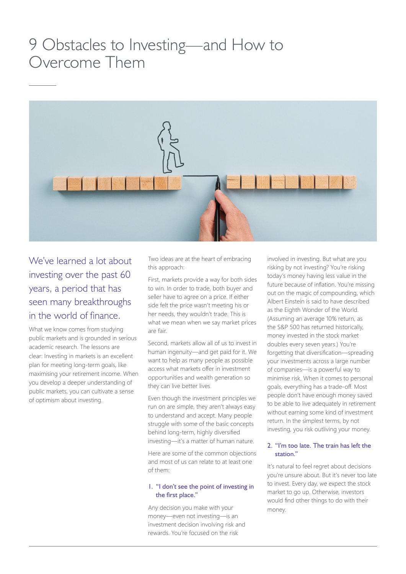## 9 Obstacles to Investing—and How to Overcome Them



We've learned a lot about investing over the past 60 years, a period that has seen many breakthroughs in the world of finance.

What we know comes from studying public markets and is grounded in serious academic research. The lessons are clear: Investing in markets is an excellent plan for meeting long-term goals, like maximising your retirement income. When you develop a deeper understanding of public markets, you can cultivate a sense of optimism about investing.

Two ideas are at the heart of embracing this approach:

First, markets provide a way for both sides to win. In order to trade, both buyer and seller have to agree on a price. If either side felt the price wasn't meeting his or her needs, they wouldn't trade. This is what we mean when we say market prices are fair.

Second, markets allow all of us to invest in human ingenuity—and get paid for it. We want to help as many people as possible access what markets offer in investment opportunities and wealth generation so they can live better lives.

Even though the investment principles we run on are simple, they aren't always easy to understand and accept. Many people struggle with some of the basic concepts behind long-term, highly diversified investing—it's a matter of human nature.

Here are some of the common objections and most of us can relate to at least one of them:

## 1. "I don't see the point of investing in the first place."

Any decision you make with your money—even not investing—is an investment decision involving risk and rewards. You're focused on the risk

involved in investing. But what are you risking by not investing? You're risking today's money having less value in the future because of inflation. You're missing out on the magic of compounding, which Albert Einstein is said to have described as the Eighth Wonder of the World. (Assuming an average 10% return, as the S&P 500 has returned historically, money invested in the stock market doubles every seven years.) You're forgetting that diversification—spreading your investments across a large number of companies—is a powerful way to minimise risk. When it comes to personal goals, everything has a trade-off. Most people don't have enough money saved to be able to live adequately in retirement without earning some kind of investment return. In the simplest terms, by not investing, you risk outliving your money.

## 2. "I'm too late. The train has left the station."

It's natural to feel regret about decisions you're unsure about. But it's never too late to invest. Every day, we expect the stock market to go up. Otherwise, investors would find other things to do with their money.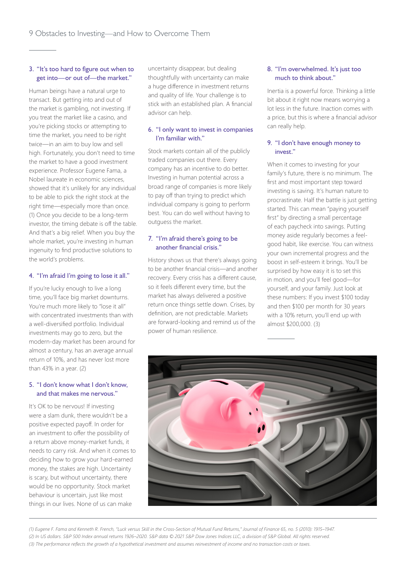## 3. "It's too hard to figure out when to get into—or out of—the market."

Human beings have a natural urge to transact. But getting into and out of the market is gambling, not investing. If you treat the market like a casino, and you're picking stocks or attempting to time the market, you need to be right twice—in an aim to buy low and sell high. Fortunately, you don't need to time the market to have a good investment experience. Professor Eugene Fama, a Nobel laureate in economic sciences, showed that it's unlikely for any individual to be able to pick the right stock at the right time—especially more than once. (1) Once you decide to be a long-term investor, the timing debate is off the table. And that's a big relief. When you buy the whole market, you're investing in human ingenuity to find productive solutions to the world's problems.

## 4. "I'm afraid I'm going to lose it all."

If you're lucky enough to live a long time, you'll face big market downturns. You're much more likely to "lose it all" with concentrated investments than with a well-diversified portfolio. Individual investments may go to zero, but the modern-day market has been around for almost a century, has an average annual return of 10%, and has never lost more than 43% in a year. (2)

## 5. "I don't know what I don't know, and that makes me nervous."

It's OK to be nervous! If investing were a slam dunk, there wouldn't be a positive expected payoff. In order for an investment to offer the possibility of a return above money-market funds, it needs to carry risk. And when it comes to deciding how to grow your hard-earned money, the stakes are high. Uncertainty is scary, but without uncertainty, there would be no opportunity. Stock market behaviour is uncertain, just like most things in our lives. None of us can make

uncertainty disappear, but dealing thoughtfully with uncertainty can make a huge difference in investment returns and quality of life. Your challenge is to stick with an established plan. A financial advisor can help.

## 6. "I only want to invest in companies I'm familiar with."

Stock markets contain all of the publicly traded companies out there. Every company has an incentive to do better. Investing in human potential across a broad range of companies is more likely to pay off than trying to predict which individual company is going to perform best. You can do well without having to outguess the market.

## 7. "I'm afraid there's going to be another financial crisis."

History shows us that there's always going to be another financial crisis—and another recovery. Every crisis has a different cause, so it feels different every time, but the market has always delivered a positive return once things settle down. Crises, by definition, are not predictable. Markets are forward-looking and remind us of the power of human resilience.

## 8. "I'm overwhelmed. It's just too much to think about."

Inertia is a powerful force. Thinking a little bit about it right now means worrying a lot less in the future. Inaction comes with a price, but this is where a financial advisor can really help.

## 9. "I don't have enough money to invest."

When it comes to investing for your family's future, there is no minimum. The first and most important step toward investing is saving. It's human nature to procrastinate. Half the battle is just getting started. This can mean "paying yourself first" by directing a small percentage of each paycheck into savings. Putting money aside regularly becomes a feelgood habit, like exercise. You can witness your own incremental progress and the boost in self-esteem it brings. You'll be surprised by how easy it is to set this in motion, and you'll feel good—for yourself, and your family. Just look at these numbers: If you invest \$100 today and then \$100 per month for 30 years with a 10% return, you'll end up with almost \$200,000. (3)



*(1) Eugene F. Fama and Kenneth R. French, "Luck versus Skill in the Cross-Section of Mutual Fund Returns," Journal of Finance 65, no. 5 (2010): 1915–1947. (2) In US dollars. S&P 500 Index annual returns 1926–2020. S&P data © 2021 S&P Dow Jones Indices LLC, a division of S&P Global. All rights reserved. (3) The performance reflects the growth of a hypothetical investment and assumes reinvestment of income and no transaction costs or taxes.*